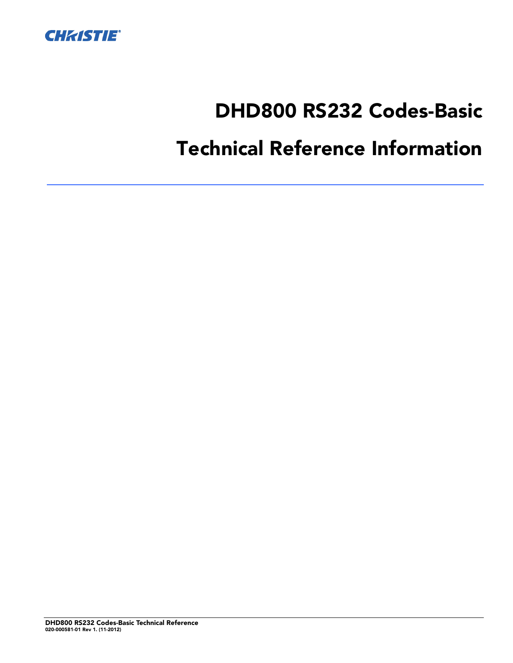

# DHD800 RS232 Codes-Basic

# Technical Reference Information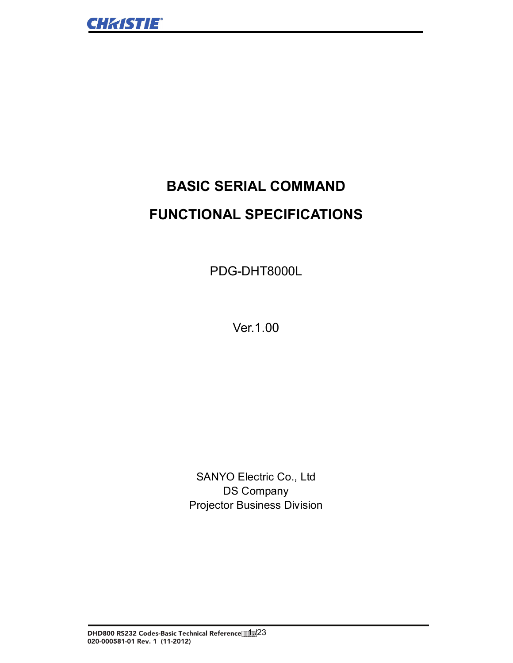# **BASIC SERIAL COMMAND FUNCTIONAL SPECIFICATIONS**

PDG-DHT8000L

Ver.1.00

SANYO Electric Co., Ltd DS Company Projector Business Division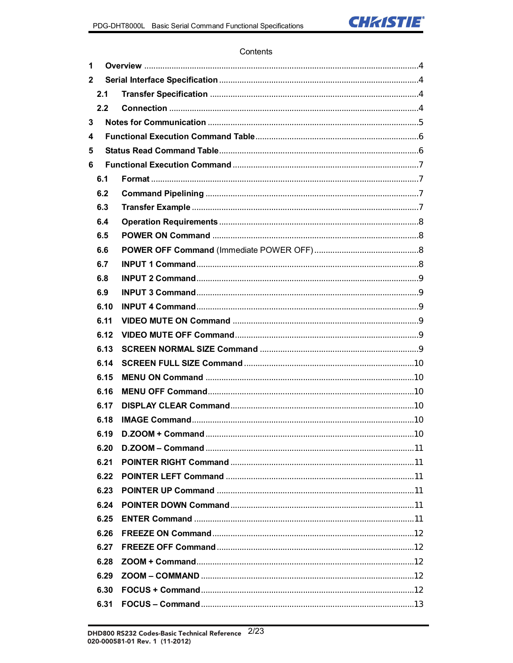

# Contents

| 1            |      |      |  |  |
|--------------|------|------|--|--|
| $\mathbf{2}$ |      |      |  |  |
|              | 2.1  |      |  |  |
|              | 2.2  |      |  |  |
| 3            |      |      |  |  |
| 4            |      |      |  |  |
| 5            |      |      |  |  |
| 6            |      |      |  |  |
|              | 6.1  |      |  |  |
|              | 6.2  |      |  |  |
|              | 6.3  |      |  |  |
|              | 6.4  |      |  |  |
|              | 6.5  |      |  |  |
|              | 6.6  |      |  |  |
|              | 6.7  |      |  |  |
|              | 6.8  |      |  |  |
|              | 6.9  |      |  |  |
|              | 6.10 |      |  |  |
|              | 6.11 |      |  |  |
|              | 6.12 |      |  |  |
|              |      | 6.13 |  |  |
|              | 6.14 |      |  |  |
|              | 6.15 |      |  |  |
|              | 6.16 |      |  |  |
|              | 6.17 |      |  |  |
|              | 6.18 |      |  |  |
|              |      | 6.19 |  |  |
|              | 6.20 |      |  |  |
|              |      | 6.21 |  |  |
|              |      | 6.22 |  |  |
|              |      | 6.23 |  |  |
|              |      | 6.24 |  |  |
|              |      | 6.25 |  |  |
|              |      | 6.26 |  |  |
|              |      | 6.27 |  |  |
|              |      | 6.28 |  |  |
|              |      | 6.29 |  |  |
|              | 6.30 |      |  |  |
|              | 6.31 |      |  |  |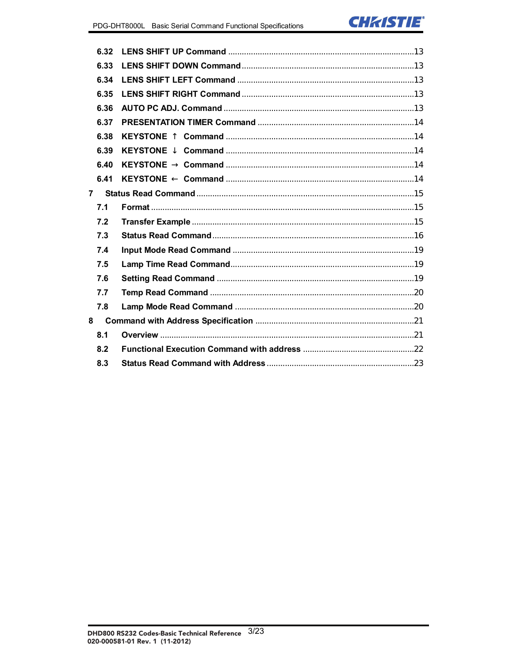

|   | 6.32 |                 |  |  |
|---|------|-----------------|--|--|
|   | 6.33 |                 |  |  |
|   | 6.34 |                 |  |  |
|   | 6.35 |                 |  |  |
|   | 6.36 |                 |  |  |
|   | 6.37 |                 |  |  |
|   | 6.38 | <b>KEYSTONE</b> |  |  |
|   | 6.39 | <b>KEYSTONE</b> |  |  |
|   | 6.40 | <b>KEYSTONE</b> |  |  |
|   | 6.41 | <b>KEYSTONE</b> |  |  |
| 7 |      |                 |  |  |
|   | 7.1  |                 |  |  |
|   | 7.2  |                 |  |  |
|   | 7.3  |                 |  |  |
|   | 7.4  |                 |  |  |
|   | 7.5  |                 |  |  |
|   | 7.6  |                 |  |  |
|   | 7.7  |                 |  |  |
|   | 7.8  |                 |  |  |
| 8 |      |                 |  |  |
|   | 8.1  |                 |  |  |
|   | 8.2  |                 |  |  |
|   | 8.3  |                 |  |  |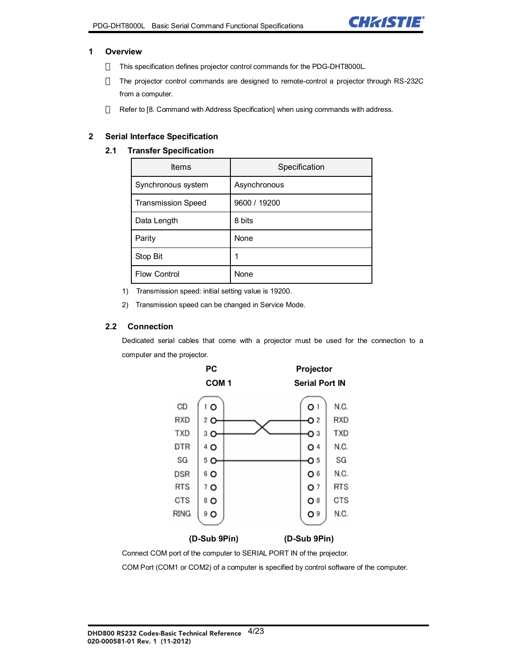

#### **1 Overview**

This specification defines projector control commands for the PDG-DHT8000L.

The projector control commands are designed to remote-control a projector through RS-232C from a computer.

Refer to [8. Command with Address Specification] when using commands with address.

#### **2 Serial Interface Specification**

#### **2.1 Transfer Specification**

| <b>Items</b>              | Specification |
|---------------------------|---------------|
| Synchronous system        | Asynchronous  |
| <b>Transmission Speed</b> | 9600 / 19200  |
| Data Length               | 8 bits        |
| Parity                    | None          |
| Stop Bit                  | 1             |
| <b>Flow Control</b>       | None          |

1) Transmission speed: initial setting value is 19200.

2) Transmission speed can be changed in Service Mode.

# **2.2 Connection**

Dedicated serial cables that come with a projector must be used for the connection to a computer and the projector.



Connect COM port of the computer to SERIAL PORT IN of the projector.

COM Port (COM1 or COM2) of a computer is specified by control software of the computer.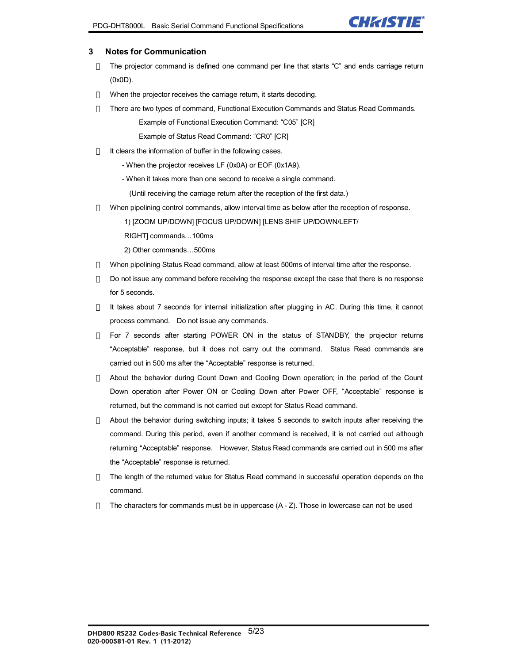

#### **3 Notes for Communication**

The projector command is defined one command per line that starts "C" and ends carriage return (0x0D).

When the projector receives the carriage return, it starts decoding.

・ There are two types of command, Functional Execution Commands and Status Read Commands.

Example of Functional Execution Command: "C05" [CR]

Example of Status Read Command: "CR0" [CR]

It clears the information of buffer in the following cases.

- When the projector receives LF (0x0A) or EOF (0x1A9).

- When it takes more than one second to receive a single command.

(Until receiving the carriage return after the reception of the first data.)

When pipelining control commands, allow interval time as below after the reception of response.

1) [ZOOM UP/DOWN] [FOCUS UP/DOWN] [LENS SHIF UP/DOWN/LEFT/

RIGHT] commands…100ms

2) Other commands…500ms

When pipelining Status Read command, allow at least 500ms of interval time after the response.

Do not issue any command before receiving the response except the case that there is no response for 5 seconds.

It takes about 7 seconds for internal initialization after plugging in AC. During this time, it cannot process command. Do not issue any commands.

For 7 seconds after starting POWER ON in the status of STANDBY, the projector returns "Acceptable" response, but it does not carry out the command. Status Read commands are carried out in 500 ms after the "Acceptable" response is returned.

About the behavior during Count Down and Cooling Down operation; in the period of the Count Down operation after Power ON or Cooling Down after Power OFF, "Acceptable" response is returned, but the command is not carried out except for Status Read command.

About the behavior during switching inputs; it takes 5 seconds to switch inputs after receiving the command. During this period, even if another command is received, it is not carried out although returning "Acceptable" response. However, Status Read commands are carried out in 500 ms after the "Acceptable" response is returned.

The length of the returned value for Status Read command in successful operation depends on the command.

The characters for commands must be in uppercase  $(A - Z)$ . Those in lowercase can not be used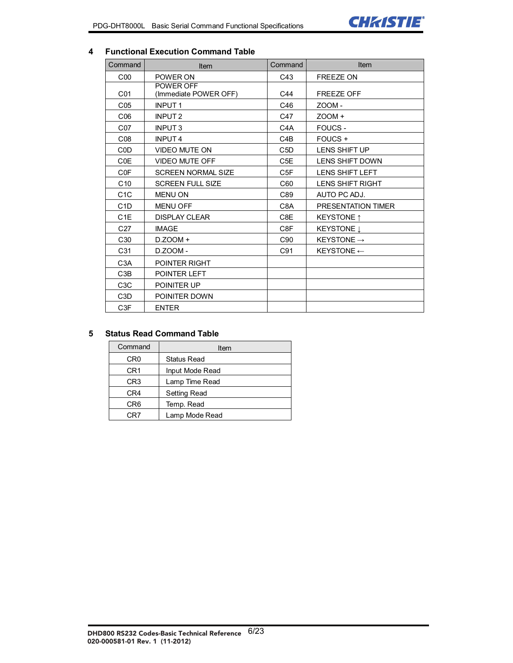

# **4 Functional Execution Command Table**

| Command          | Item                               | Command          | Item                    |
|------------------|------------------------------------|------------------|-------------------------|
| C <sub>00</sub>  | POWER ON                           | C43              | <b>FREEZE ON</b>        |
| C <sub>01</sub>  | POWER OFF<br>(Immediate POWER OFF) | C44              | <b>FREEZE OFF</b>       |
| C <sub>05</sub>  | <b>INPUT1</b>                      | C46              | ZOOM-                   |
| C <sub>06</sub>  | INPUT <sub>2</sub>                 | C47              | $200M +$                |
| C07              | <b>INPUT3</b>                      | C <sub>4</sub> A | FOUCS -                 |
| C <sub>08</sub>  | <b>INPUT4</b>                      | CAB              | FOUCS +                 |
| C <sub>0</sub> D | <b>VIDEO MUTE ON</b>               | C <sub>5</sub> D | <b>LENS SHIFT UP</b>    |
| <b>C0E</b>       | <b>VIDEO MUTE OFF</b>              | C <sub>5</sub> E | <b>LENS SHIFT DOWN</b>  |
| C <sub>OF</sub>  | <b>SCREEN NORMAL SIZE</b>          | C <sub>5F</sub>  | <b>LENS SHIFT LEFT</b>  |
| C10              | <b>SCREEN FULL SIZE</b>            | C60              | <b>LENS SHIFT RIGHT</b> |
| C <sub>1</sub> C | <b>MENU ON</b>                     | C89              | AUTO PC ADJ.            |
| C <sub>1</sub> D | <b>MENU OFF</b>                    | C8A              | PRESENTATION TIMER      |
| C <sub>1</sub> E | <b>DISPLAY CLEAR</b>               | C8E              | KEYSTONE 1              |
| C <sub>27</sub>  | <b>IMAGE</b>                       | C8F              | <b>KEYSTONE</b> I       |
| C <sub>30</sub>  | $D.ZOOM +$                         | C90              | KEYSTONE $\rightarrow$  |
| C31              | D.ZOOM -                           | C91              | $KEYSTONE \leftarrow$   |
| C <sub>3</sub> A | POINTER RIGHT                      |                  |                         |
| C <sub>3</sub> B | POINTER LEFT                       |                  |                         |
| C <sub>3</sub> C | POINITER UP                        |                  |                         |
| C <sub>3</sub> D | POINITER DOWN                      |                  |                         |
| C <sub>3</sub> F | <b>ENTER</b>                       |                  |                         |

# **5 Status Read Command Table**

| Command         | Item                |
|-----------------|---------------------|
| CR <sub>0</sub> | <b>Status Read</b>  |
| CR <sub>1</sub> | Input Mode Read     |
| CR <sub>3</sub> | Lamp Time Read      |
| CR4             | <b>Setting Read</b> |
| CR <sub>6</sub> | Temp. Read          |
| CR7             | Lamp Mode Read      |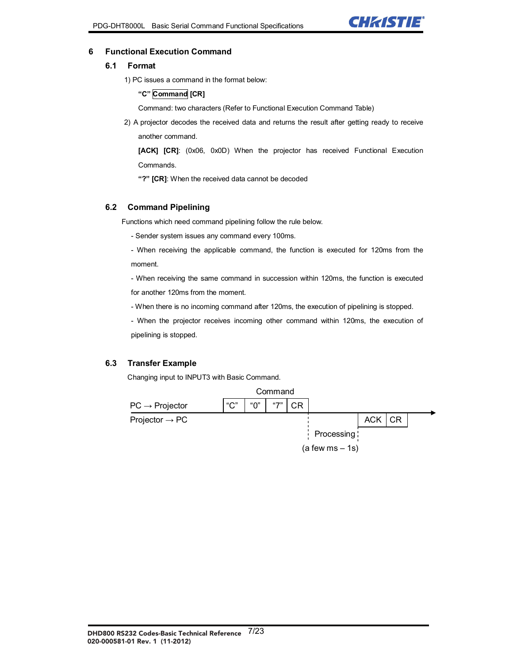

#### **6 Functional Execution Command**

# **6.1 Format**

1) PC issues a command in the format below:

#### **"C" Command [CR]**

Command: two characters (Refer to Functional Execution Command Table)

2) A projector decodes the received data and returns the result after getting ready to receive another command.

**[ACK] [CR]**: (0x06, 0x0D) When the projector has received Functional Execution Commands.

**"?" [CR]**: When the received data cannot be decoded

# **6.2 Command Pipelining**

Functions which need command pipelining follow the rule below.

- Sender system issues any command every 100ms.
- When receiving the applicable command, the function is executed for 120ms from the moment.

- When receiving the same command in succession within 120ms, the function is executed for another 120ms from the moment.

- When there is no incoming command after 120ms, the execution of pipelining is stopped.

- When the projector receives incoming other command within 120ms, the execution of pipelining is stopped.

# **6.3 Transfer Example**

Changing input to INPUT3 with Basic Command.

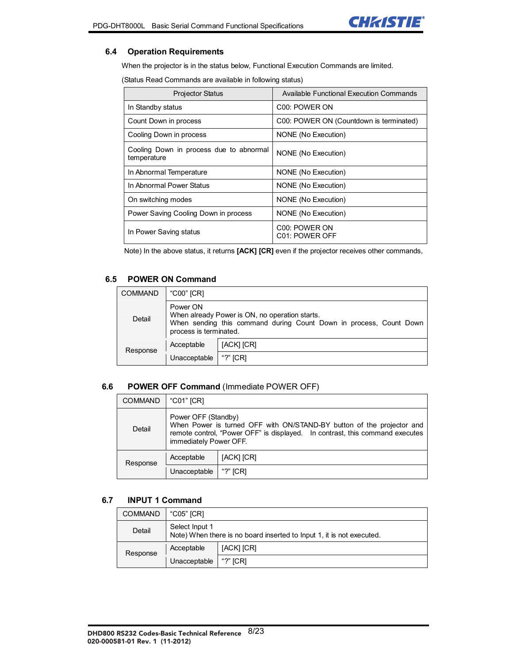

#### **6.4 Operation Requirements**

When the projector is in the status below, Functional Execution Commands are limited.

(Status Read Commands are available in following status)

| <b>Projector Status</b>                                | Available Functional Execution Commands      |
|--------------------------------------------------------|----------------------------------------------|
| In Standby status                                      | C <sub>0</sub> : POWER ON                    |
| Count Down in process                                  | C00: POWER ON (Countdown is terminated)      |
| Cooling Down in process                                | NONE (No Execution)                          |
| Cooling Down in process due to abnormal<br>temperature | NONE (No Execution)                          |
| In Abnormal Temperature                                | NONE (No Execution)                          |
| In Abnormal Power Status                               | NONE (No Execution)                          |
| On switching modes                                     | NONE (No Execution)                          |
| Power Saving Cooling Down in process                   | NONE (No Execution)                          |
| In Power Saving status                                 | C <sub>00</sub> : POWER ON<br>C01: POWER OFF |

Note) In the above status, it returns **[ACK] [CR]** even if the projector receives other commands,

# **6.5 POWER ON Command**

| <b>COMMAND</b> | "C00" [CR]                                                                                                                                                 |            |  |
|----------------|------------------------------------------------------------------------------------------------------------------------------------------------------------|------------|--|
| Detail         | Power ON<br>When already Power is ON, no operation starts.<br>When sending this command during Count Down in process, Count Down<br>process is terminated. |            |  |
| Response       | Acceptable                                                                                                                                                 | [ACK] [CR] |  |
|                | Unacceptable                                                                                                                                               | "?" $ CR $ |  |

# **6.6 POWER OFF Command** (Immediate POWER OFF)

| <b>COMMAND</b> | "C01" [CR]                                                                                                                                                                                             |            |  |
|----------------|--------------------------------------------------------------------------------------------------------------------------------------------------------------------------------------------------------|------------|--|
| Detail         | Power OFF (Standby)<br>When Power is turned OFF with ON/STAND-BY button of the projector and<br>remote control, "Power OFF" is displayed. In contrast, this command executes<br>immediately Power OFF. |            |  |
| Response       | Acceptable                                                                                                                                                                                             | [ACK] [CR] |  |
|                | Unacceptable                                                                                                                                                                                           | "?" $ICRI$ |  |

# **6.7 INPUT 1 Command**

| <b>COMMAND</b> | "C05" [CR]                                                                              |            |  |
|----------------|-----------------------------------------------------------------------------------------|------------|--|
| Detail         | Select Input 1<br>Note) When there is no board inserted to lnput 1, it is not executed. |            |  |
| Response       | Acceptable                                                                              | [ACK] [CR] |  |
|                | Unacceptable                                                                            | "?" $ICRI$ |  |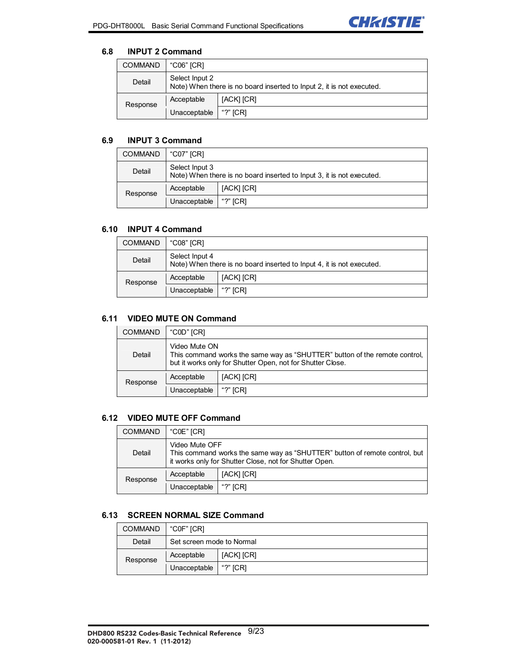

# **6.8 INPUT 2 Command**

| <b>COMMAND</b> | "C06" [CR]                                                                              |            |  |
|----------------|-----------------------------------------------------------------------------------------|------------|--|
| Detail         | Select Input 2<br>Note) When there is no board inserted to Input 2, it is not executed. |            |  |
| Response       | Acceptable                                                                              | [ACK] [CR] |  |
|                | Unacceptable                                                                            | "?" $ICRI$ |  |

#### **6.9 INPUT 3 Command**

| <b>COMMAND</b> | "C07" [CR]                                                                              |            |  |
|----------------|-----------------------------------------------------------------------------------------|------------|--|
| Detail         | Select Input 3<br>Note) When there is no board inserted to lnput 3, it is not executed. |            |  |
| Response       | Acceptable                                                                              | [ACK] [CR] |  |
|                | Unacceptable                                                                            | "?" $[CR]$ |  |

#### **6.10 INPUT 4 Command**

| <b>COMMAND</b> | "C08" [CR]                                                                              |                |  |
|----------------|-----------------------------------------------------------------------------------------|----------------|--|
| Detail         | Select Input 4<br>Note) When there is no board inserted to lnput 4, it is not executed. |                |  |
| Response       | Acceptable                                                                              | [ACK] [CR]     |  |
|                | Unacceptable                                                                            | " $?$ " $ICRI$ |  |

# **6.11 VIDEO MUTE ON Command**

| <b>COMMAND</b> | "COD" [CR]                                                                                                                                                |            |
|----------------|-----------------------------------------------------------------------------------------------------------------------------------------------------------|------------|
| Detail         | Video Mute ON<br>This command works the same way as "SHUTTER" button of the remote control,<br>but it works only for Shutter Open, not for Shutter Close. |            |
| Response       | Acceptable                                                                                                                                                | [ACK] [CR] |
|                | Unacceptable                                                                                                                                              | "?" $ICRI$ |

# **6.12 VIDEO MUTE OFF Command**

| <b>COMMAND</b> | "C0E" [CR]                                                                                                                                             |            |
|----------------|--------------------------------------------------------------------------------------------------------------------------------------------------------|------------|
| Detail         | Video Mute OFF<br>This command works the same way as "SHUTTER" button of remote control, but<br>it works only for Shutter Close, not for Shutter Open. |            |
| Response       | Acceptable                                                                                                                                             | [ACK] [CR] |
|                | Unacceptable                                                                                                                                           | "?" $ICRI$ |

# **6.13 SCREEN NORMAL SIZE Command**

| <b>COMMAND</b> | "C0F" [CR]                |            |
|----------------|---------------------------|------------|
| Detail         | Set screen mode to Normal |            |
| Response       | Acceptable                | [ACK] [CR] |
|                | Unacceptable              | "?" $ICRI$ |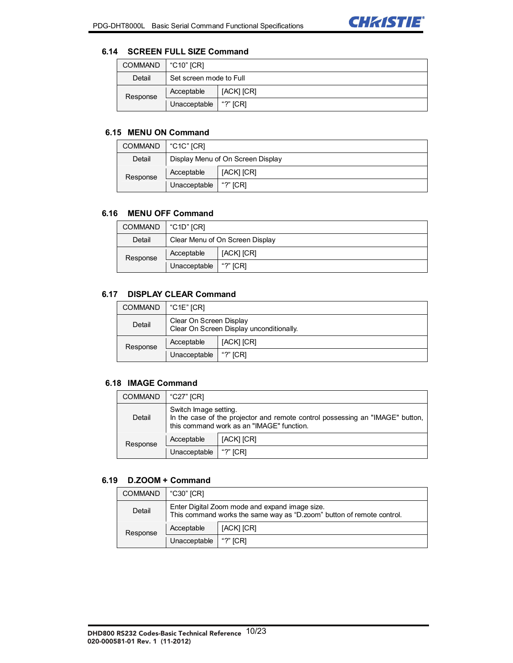

# **6.14 SCREEN FULL SIZE Command**

| <b>COMMAND</b> | "C10" [CR]              |            |
|----------------|-------------------------|------------|
| Detail         | Set screen mode to Full |            |
| Response       | Acceptable              | [ACK] [CR] |
|                | Unacceptable            | "?" $[CR]$ |

# **6.15 MENU ON Command**

| <b>COMMAND</b> | "C1C" [CR]                        |            |
|----------------|-----------------------------------|------------|
| Detail         | Display Menu of On Screen Display |            |
| Response       | Acceptable                        | [ACK] [CR] |
|                | Unacceptable                      | "?" $ICRI$ |

# **6.16 MENU OFF Command**

| <b>COMMAND</b> | "C1D" [CR]   |                                 |
|----------------|--------------|---------------------------------|
| Detail         |              | Clear Menu of On Screen Display |
| Response       | Acceptable   | [ACK] [CR]                      |
|                | Unacceptable | "?" $ICRI$                      |

# **6.17 DISPLAY CLEAR Command**

| <b>COMMAND</b> | "C1E" [CR]                                                          |            |
|----------------|---------------------------------------------------------------------|------------|
| Detail         | Clear On Screen Display<br>Clear On Screen Display unconditionally. |            |
| Response       | Acceptable                                                          | [ACK] [CR] |
|                | Unacceptable                                                        | "?" $[CR]$ |

# **6.18 IMAGE Command**

| <b>COMMAND</b> | "C27" [CR]                                                                                                                                          |            |
|----------------|-----------------------------------------------------------------------------------------------------------------------------------------------------|------------|
| Detail         | Switch Image setting.<br>In the case of the projector and remote control possessing an "IMAGE" button,<br>this command work as an "IMAGE" function. |            |
| Response       | Acceptable                                                                                                                                          | [ACK] [CR] |
|                | Unacceptable                                                                                                                                        | "?" $[CR]$ |

# **6.19 D.ZOOM + Command**

| <b>COMMAND</b> | "C30" [CR]                                                                                                              |            |
|----------------|-------------------------------------------------------------------------------------------------------------------------|------------|
| Detail         | Enter Digital Zoom mode and expand image size.<br>This command works the same way as "D.zoom" button of remote control. |            |
| Response       | Acceptable                                                                                                              | [ACK] [CR] |
|                | Unacceptable                                                                                                            | "?" $ICRI$ |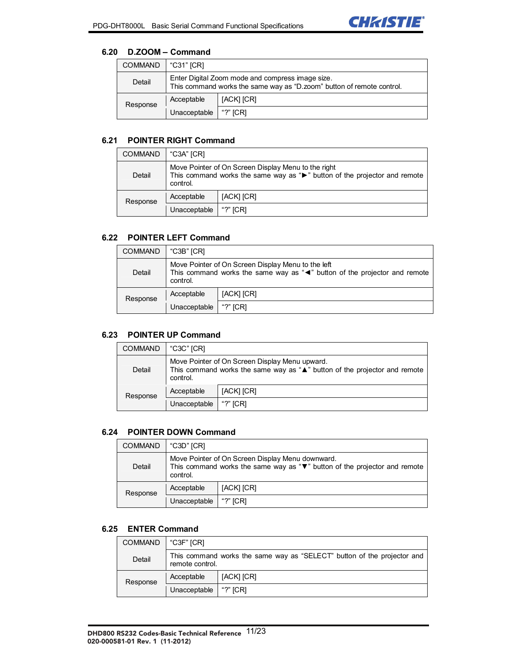

# **6.20 D.ZOOM – Command**

| <b>COMMAND</b> | "C31" [CR]                                                                                                                |            |
|----------------|---------------------------------------------------------------------------------------------------------------------------|------------|
| Detail         | Enter Digital Zoom mode and compress image size.<br>This command works the same way as "D.zoom" button of remote control. |            |
| Response       | Acceptable                                                                                                                | [ACK] [CR] |
|                | Unacceptable                                                                                                              | "?" ICRI   |

# **6.21 POINTER RIGHT Command**

| <b>COMMAND</b> | "C3A" [CR]                                                                                                                                                         |            |
|----------------|--------------------------------------------------------------------------------------------------------------------------------------------------------------------|------------|
| Detail         | Move Pointer of On Screen Display Menu to the right<br>This command works the same way as " $\blacktriangleright$ " button of the projector and remote<br>control. |            |
| Response       | Acceptable                                                                                                                                                         | [ACK] [CR] |
|                | Unacceptable                                                                                                                                                       | "?" $ICRI$ |

# **6.22 POINTER LEFT Command**

| <b>COMMAND</b> | "C3B" [CR]                                                                                                                                                       |            |
|----------------|------------------------------------------------------------------------------------------------------------------------------------------------------------------|------------|
| Detail         | Move Pointer of On Screen Display Menu to the left<br>This command works the same way as " $\blacktriangleleft$ " button of the projector and remote<br>control. |            |
| Response       | Acceptable                                                                                                                                                       | [ACK] [CR] |
|                | Unacceptable                                                                                                                                                     | "?" $ICRI$ |

# **6.23 POINTER UP Command**

| <b>COMMAND</b> | "C3C" [CR]                                                                                                                              |            |
|----------------|-----------------------------------------------------------------------------------------------------------------------------------------|------------|
| Detail         | Move Pointer of On Screen Display Menu upward.<br>This command works the same way as "A" button of the projector and remote<br>control. |            |
| Response       | Acceptable                                                                                                                              | [ACK] [CR] |
|                | Unacceptable                                                                                                                            | "?" $ICRI$ |

#### **6.24 POINTER DOWN Command**

| <b>COMMAND</b> | "C3D" [CR]                                                                                                                                         |            |
|----------------|----------------------------------------------------------------------------------------------------------------------------------------------------|------------|
| Detail         | Move Pointer of On Screen Display Menu downward.<br>This command works the same way as " $\nabla$ " button of the projector and remote<br>control. |            |
| Response       | Acceptable                                                                                                                                         | [ACK] [CR] |
|                | Unacceptable                                                                                                                                       | "?" [CR]   |

#### **6.25 ENTER Command**

| <b>COMMAND</b> | "C3F" [CR]                                                                                 |            |
|----------------|--------------------------------------------------------------------------------------------|------------|
| Detail         | This command works the same way as "SELECT" button of the projector and<br>remote control. |            |
| Response       | Acceptable                                                                                 | [ACK] [CR] |
|                | Unacceptable                                                                               | "?" $ICRI$ |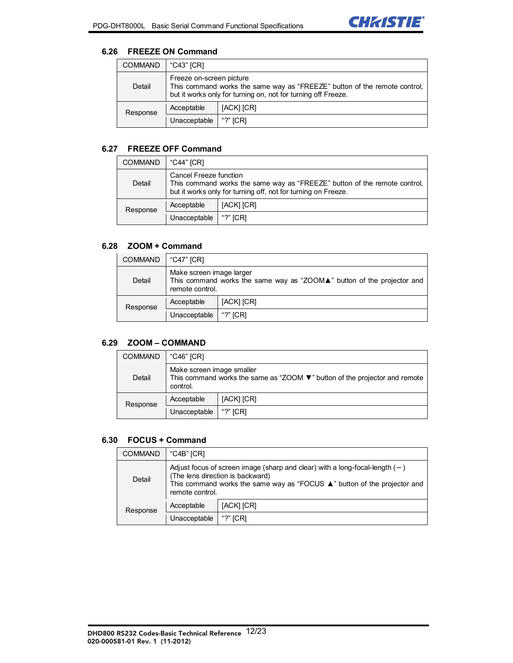

# **6.26 FREEZE ON Command**

| <b>COMMAND</b> | "C43" [CR]                                                                                                                                                             |            |
|----------------|------------------------------------------------------------------------------------------------------------------------------------------------------------------------|------------|
| Detail         | Freeze on-screen picture<br>This command works the same way as "FREEZE" button of the remote control,<br>but it works only for turning on, not for turning off Freeze. |            |
| Response       | Acceptable                                                                                                                                                             | [ACK] [CR] |
|                | Unacceptable                                                                                                                                                           | "?" $ICRI$ |

#### **6.27 FREEZE OFF Command**

| <b>COMMAND</b> | "C44" [CR]                                                                                                                                                           |            |
|----------------|----------------------------------------------------------------------------------------------------------------------------------------------------------------------|------------|
| Detail         | Cancel Freeze function<br>This command works the same way as "FREEZE" button of the remote control,<br>but it works only for turning off, not for turning on Freeze. |            |
| Response       | Acceptable                                                                                                                                                           | [ACK] [CR] |
|                | Unacceptable                                                                                                                                                         | "?" $ICRI$ |

# **6.28 ZOOM + Command**

| <b>COMMAND</b> | "C47" [CR]                                                                                                                             |            |
|----------------|----------------------------------------------------------------------------------------------------------------------------------------|------------|
| Detail         | Make screen image larger<br>This command works the same way as " $ZOOM\blacktriangle$ " button of the projector and<br>remote control. |            |
| Response       | Acceptable                                                                                                                             | [ACK] [CR] |
|                | Unacceptable                                                                                                                           | "?" [CR]   |

#### **6.29 ZOOM – COMMAND**

| <b>COMMAND</b> | "C46" [CR]                                                                                                                                 |            |
|----------------|--------------------------------------------------------------------------------------------------------------------------------------------|------------|
| Detail         | Make screen image smaller<br>This command works the same as " $200M$ $\blacktriangledown$ " button of the projector and remote<br>control. |            |
| Response       | Acceptable                                                                                                                                 | [ACK] [CR] |
|                | Unacceptable                                                                                                                               | "?" $ICRI$ |

#### **6.30 FOCUS + Command**

| <b>COMMAND</b> | $"C4B"$ $ CR$                                                                                                                                                                                                                    |            |
|----------------|----------------------------------------------------------------------------------------------------------------------------------------------------------------------------------------------------------------------------------|------------|
| Detail         | Adjust focus of screen image (sharp and clear) with a long-focal-length $($ )<br>(The lens direction is backward)<br>This command works the same way as "FOCUS $\blacktriangle$ " button of the projector and<br>remote control. |            |
| Response       | Acceptable                                                                                                                                                                                                                       | [ACK] [CR] |
|                | Unacceptable                                                                                                                                                                                                                     | "?" $ICRI$ |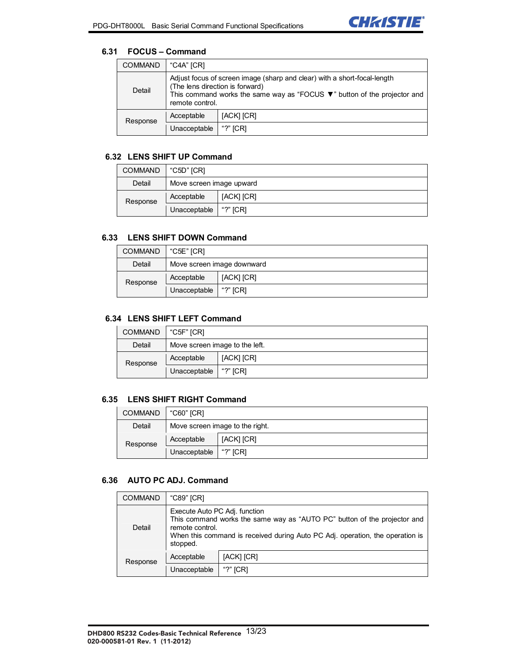

# **6.31 FOCUS – Command**

| <b>COMMAND</b> | "C4A" [CR]                                                                                                                                                                                                                     |            |
|----------------|--------------------------------------------------------------------------------------------------------------------------------------------------------------------------------------------------------------------------------|------------|
| Detail         | Adjust focus of screen image (sharp and clear) with a short-focal-length<br>(The lens direction is forward)<br>This command works the same way as "FOCUS $\blacktriangledown$ " button of the projector and<br>remote control. |            |
| Response       | Acceptable                                                                                                                                                                                                                     | [ACK] [CR] |
|                | Unacceptable                                                                                                                                                                                                                   | "?" $ICRI$ |

# **6.32 LENS SHIFT UP Command**

| <b>COMMAND</b> | "C5D" [CR]               |            |
|----------------|--------------------------|------------|
| Detail         | Move screen image upward |            |
| Response       | Acceptable               | [ACK] [CR] |
|                | Unacceptable             | "?" [CR]   |

# **6.33 LENS SHIFT DOWN Command**

| <b>COMMAND</b> | $^{\circ}$ C5E" [CR]       |            |
|----------------|----------------------------|------------|
| Detail         | Move screen image downward |            |
| Response       | Acceptable                 | [ACK] [CR] |
|                | Unacceptable               | "?" $ICRI$ |

# **6.34 LENS SHIFT LEFT Command**

| <b>COMMAND</b> | "C5F" [CR]                     |            |
|----------------|--------------------------------|------------|
| Detail         | Move screen image to the left. |            |
| Response       | Acceptable                     | [ACK] [CR] |
|                | Unacceptable                   | "?" $[CR]$ |

#### **6.35 LENS SHIFT RIGHT Command**

| <b>COMMAND</b> | "C60" [CR]                      |            |
|----------------|---------------------------------|------------|
| Detail         | Move screen image to the right. |            |
| Response       | Acceptable                      | [ACK] [CR] |
|                | Unacceptable                    | "?" $[CR]$ |

#### **6.36 AUTO PC ADJ. Command**

| <b>COMMAND</b> | "C89" [CR]                                                                                                                                                                                                                |            |
|----------------|---------------------------------------------------------------------------------------------------------------------------------------------------------------------------------------------------------------------------|------------|
| Detail         | Execute Auto PC Adj. function<br>This command works the same way as "AUTO PC" button of the projector and<br>remote control.<br>When this command is received during Auto PC Adj. operation, the operation is<br>stopped. |            |
| Response       | Acceptable                                                                                                                                                                                                                | [ACK] [CR] |
|                | Unacceptable                                                                                                                                                                                                              | "?" $ICRI$ |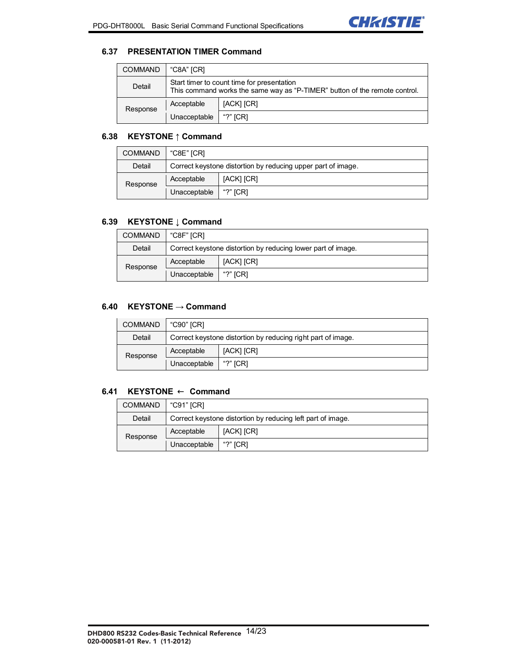

## **6.37 PRESENTATION TIMER Command**

| <b>COMMAND</b> | "C8A" [CR]                                                                                                               |            |
|----------------|--------------------------------------------------------------------------------------------------------------------------|------------|
| Detail         | Start timer to count time for presentation<br>This command works the same way as "P-TIMER" button of the remote control. |            |
| Response       | Acceptable                                                                                                               | [ACK] [CR] |
|                | Unacceptable                                                                                                             | "?" $ICRI$ |

# **6.38 KEYSTONE** ↑ **Command**

| <b>COMMAND</b> | "C8E" [CR]                                                   |            |
|----------------|--------------------------------------------------------------|------------|
| Detail         | Correct keystone distortion by reducing upper part of image. |            |
| Response       | Acceptable                                                   | [ACK] [CR] |
|                | Unacceptable                                                 | "?" $ICRI$ |

#### **6.39 KEYSTONE** ↓ **Command**

| <b>COMMAND</b> | "C8F" ICRI                                                   |            |
|----------------|--------------------------------------------------------------|------------|
| Detail         | Correct keystone distortion by reducing lower part of image. |            |
| Response       | Acceptable                                                   | [ACK] [CR] |
|                | Unacceptable                                                 | "?" $ICRI$ |

## **6.40 KEYSTONE** → **Command**

| <b>COMMAND</b> | "C90" ICRI                                                   |            |
|----------------|--------------------------------------------------------------|------------|
| Detail         | Correct keystone distortion by reducing right part of image. |            |
| Response       | Acceptable                                                   | [ACK] [CR] |
|                | Unacceptable                                                 | "?" [CR]   |

#### **6.41 KEYSTONE Command**

| <b>COMMAND</b> | "C91" [CR]                                                  |            |
|----------------|-------------------------------------------------------------|------------|
| Detail         | Correct keystone distortion by reducing left part of image. |            |
| Response       | Acceptable                                                  | [ACK] [CR] |
|                | Unacceptable                                                | "?" $[CR]$ |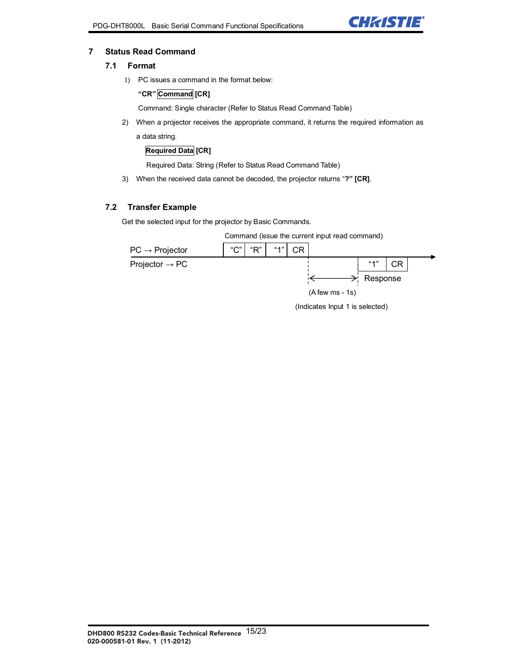

# **7 Status Read Command**

# **7.1 Format**

1) PC issues a command in the format below:

# **"CR" Command [CR]**

Command: Single character (Refer to Status Read Command Table)

- 2) When a projector receives the appropriate command, it returns the required information as
	- a data string.

# **Required Data [CR]**

Required Data: String (Refer to Status Read Command Table)

3) When the received data cannot be decoded, the projector returns "**?" [CR]**.

# **7.2 Transfer Example**

Get the selected input for the projector by Basic Commands.





(Indicates Input 1 is selected)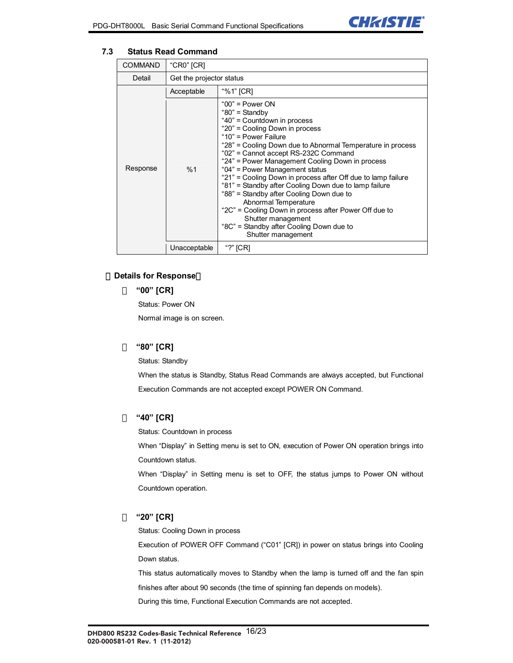

#### **7.3 Status Read Command**

| <b>COMMAND</b> | "CR0" [CR]               |                                                                                                                                                                                                                                                                                                                                                                                                                                                                                                                                                                                                                                                                         |
|----------------|--------------------------|-------------------------------------------------------------------------------------------------------------------------------------------------------------------------------------------------------------------------------------------------------------------------------------------------------------------------------------------------------------------------------------------------------------------------------------------------------------------------------------------------------------------------------------------------------------------------------------------------------------------------------------------------------------------------|
| Detail         | Get the projector status |                                                                                                                                                                                                                                                                                                                                                                                                                                                                                                                                                                                                                                                                         |
|                | Acceptable               | "%1" [CR]                                                                                                                                                                                                                                                                                                                                                                                                                                                                                                                                                                                                                                                               |
| Response       | %1                       | " $00$ " = Power ON<br>"80" = Standby<br>"40" = Countdown in process<br>"20" = Cooling Down in process<br>"10" = Power Failure<br>"28" = Cooling Down due to Abnormal Temperature in process<br>"02" = Cannot accept RS-232C Command<br>"24" = Power Management Cooling Down in process<br>"04" = Power Management status<br>"21" = Cooling Down in process after Off due to lamp failure<br>"81" = Standby after Cooling Down due to lamp failure<br>"88" = Standby after Cooling Down due to<br>Abnormal Temperature<br>"2C" = Cooling Down in process after Power Off due to<br>Shutter management<br>"8C" = Standby after Cooling Down due to<br>Shutter management |
|                | Unacceptable             | "?" [CR]                                                                                                                                                                                                                                                                                                                                                                                                                                                                                                                                                                                                                                                                |

#### **Details for Response**

・ **"00" [CR]** 

Status: Power ON

Normal image is on screen.

# ・ **"80" [CR]**

Status: Standby

When the status is Standby, Status Read Commands are always accepted, but Functional Execution Commands are not accepted except POWER ON Command.

#### ・ **"40" [CR]**

Status: Countdown in process

When "Display" in Setting menu is set to ON, execution of Power ON operation brings into Countdown status.

When "Display" in Setting menu is set to OFF, the status jumps to Power ON without Countdown operation.

#### ・ **"20" [CR]**

Status: Cooling Down in process

Execution of POWER OFF Command ("C01" [CR]) in power on status brings into Cooling Down status.

This status automatically moves to Standby when the lamp is turned off and the fan spin

finishes after about 90 seconds (the time of spinning fan depends on models).

During this time, Functional Execution Commands are not accepted.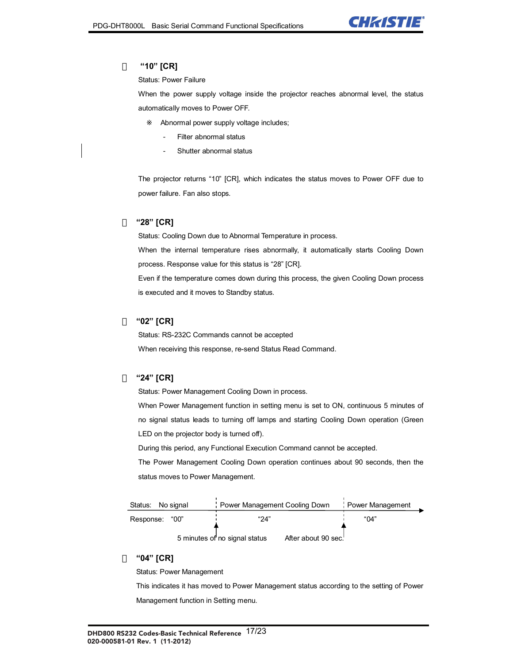

# ・ **"10" [CR]**

Status: Power Failure

When the power supply voltage inside the projector reaches abnormal level, the status automatically moves to Power OFF.

Abnormal power supply voltage includes;

- Filter abnormal status
- Shutter abnormal status

The projector returns "10" [CR], which indicates the status moves to Power OFF due to power failure. Fan also stops.

# ・ **"28" [CR]**

Status: Cooling Down due to Abnormal Temperature in process. When the internal temperature rises abnormally, it automatically starts Cooling Down process. Response value for this status is "28" [CR]. Even if the temperature comes down during this process, the given Cooling Down process

is executed and it moves to Standby status.

#### ・ **"02" [CR]**

Status: RS-232C Commands cannot be accepted When receiving this response, re-send Status Read Command.

# ・ **"24" [CR]**

Status: Power Management Cooling Down in process.

When Power Management function in setting menu is set to ON, continuous 5 minutes of no signal status leads to turning off lamps and starting Cooling Down operation (Green LED on the projector body is turned off).

During this period, any Functional Execution Command cannot be accepted.

The Power Management Cooling Down operation continues about 90 seconds, then the status moves to Power Management.

| Status: No signal | Power Management Cooling Down | Power Management    |
|-------------------|-------------------------------|---------------------|
| "00"<br>Response: | "24"                          | "በ4"                |
|                   | 5 minutes of no signal status | After about 90 sec. |

#### ・ **"04" [CR]**

Status: Power Management

This indicates it has moved to Power Management status according to the setting of Power Management function in Setting menu.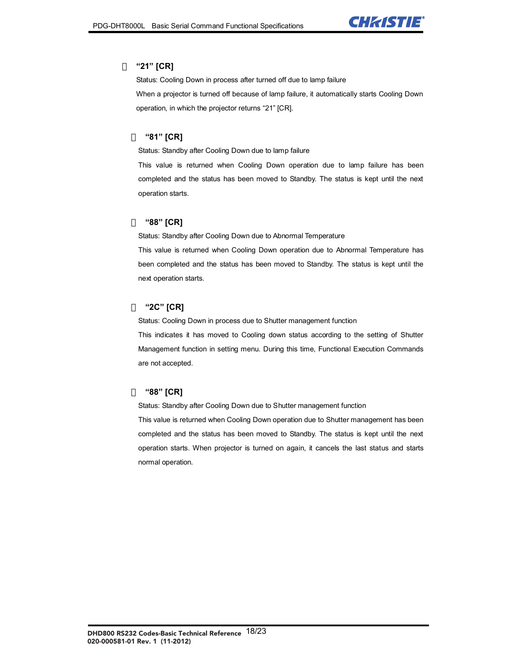

# ・ **"21" [CR]**

Status: Cooling Down in process after turned off due to lamp failure When a projector is turned off because of lamp failure, it automatically starts Cooling Down operation, in which the projector returns "21" [CR].

#### ・ **"81" [CR]**

Status: Standby after Cooling Down due to lamp failure

This value is returned when Cooling Down operation due to lamp failure has been completed and the status has been moved to Standby. The status is kept until the next operation starts.

# ・ **"88" [CR]**

Status: Standby after Cooling Down due to Abnormal Temperature This value is returned when Cooling Down operation due to Abnormal Temperature has been completed and the status has been moved to Standby. The status is kept until the next operation starts.

#### ・ **"2C" [CR]**

Status: Cooling Down in process due to Shutter management function

This indicates it has moved to Cooling down status according to the setting of Shutter Management function in setting menu. During this time, Functional Execution Commands are not accepted.

# ・ **"88" [CR]**

Status: Standby after Cooling Down due to Shutter management function This value is returned when Cooling Down operation due to Shutter management has been completed and the status has been moved to Standby. The status is kept until the next operation starts. When projector is turned on again, it cancels the last status and starts normal operation.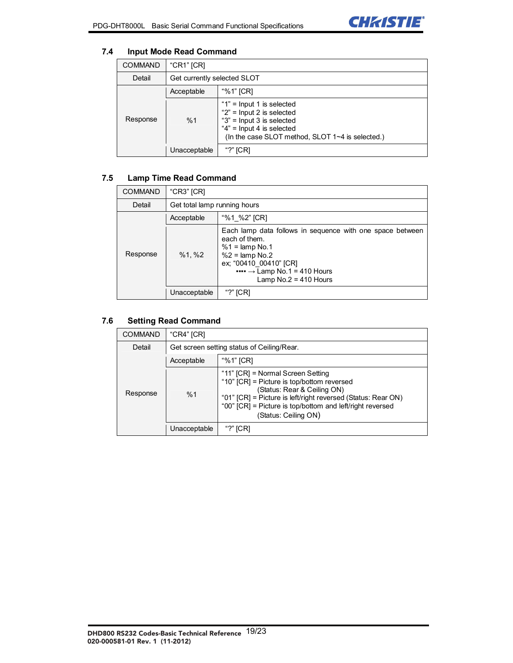

# **7.4 Input Mode Read Command**

| <b>COMMAND</b> | "CR1" $[CR]$                |                                                                                                                                                                                    |
|----------------|-----------------------------|------------------------------------------------------------------------------------------------------------------------------------------------------------------------------------|
| Detail         | Get currently selected SLOT |                                                                                                                                                                                    |
|                | Acceptable                  | "%1" [CR]                                                                                                                                                                          |
| Response       | %1                          | "1" = $Input 1$ is selected<br>" $2$ " = Input 2 is selected<br>" $3$ " = Input 3 is selected<br>" $4$ " = Input 4 is selected<br>(In the case SLOT method, SLOT 1~4 is selected.) |
|                | Unacceptable                | "?" [CR]                                                                                                                                                                           |

# **7.5 Lamp Time Read Command**

| <b>COMMAND</b> | "CR3" $[CR]$                 |                                                                                                                                                                                                                         |
|----------------|------------------------------|-------------------------------------------------------------------------------------------------------------------------------------------------------------------------------------------------------------------------|
| Detail         | Get total lamp running hours |                                                                                                                                                                                                                         |
|                | "%1 %2" [CR]<br>Acceptable   |                                                                                                                                                                                                                         |
| Response       | $%1, \%2$                    | Each lamp data follows in sequence with one space between<br>each of them.<br>$%1 =$ lamp No.1<br>$%2 =$ lamp No.2<br>ex; "00410_00410" [CR]<br>$\cdots$ $\rightarrow$ Lamp No.1 = 410 Hours<br>Lamp $No.2 = 410$ Hours |
|                | Unacceptable                 | "?" [CR]                                                                                                                                                                                                                |

# **7.6 Setting Read Command**

| COMMAND  | "CR4" $[CR]$                               |                                                                                                                                                                                                                                                                     |
|----------|--------------------------------------------|---------------------------------------------------------------------------------------------------------------------------------------------------------------------------------------------------------------------------------------------------------------------|
| Detail   | Get screen setting status of Ceiling/Rear. |                                                                                                                                                                                                                                                                     |
|          | Acceptable                                 | "%1" [CR]                                                                                                                                                                                                                                                           |
| Response | %1                                         | "11" [CR] = Normal Screen Setting<br>"10" [CR] = Picture is top/bottom reversed<br>(Status: Rear & Ceiling ON)<br>"01" [CR] = Picture is left/right reversed (Status: Rear ON)<br>"00" [CR] = Picture is top/bottom and left/right reversed<br>(Status: Ceiling ON) |
|          | Unacceptable                               | "?" [CR]                                                                                                                                                                                                                                                            |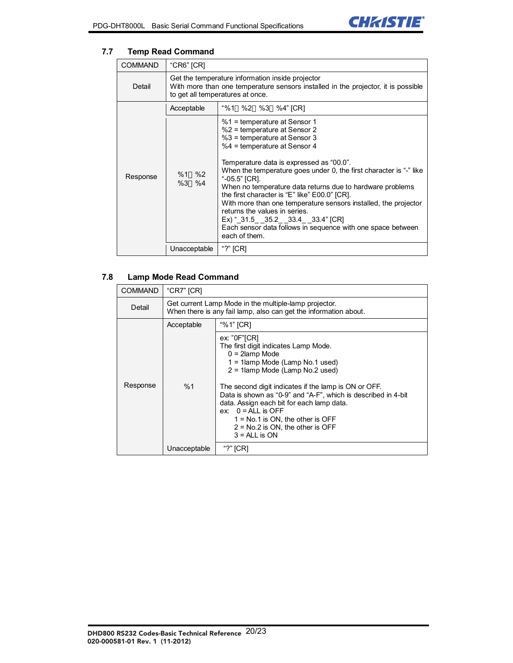

# **7.7 Temp Read Command**

| <b>COMMAND</b> | $"CR6"$ [CR]                                                                                                                                                              |                                                                                                                                                                                                                                                                                                                                                                                                                                                                                                                                                                                                      |  |
|----------------|---------------------------------------------------------------------------------------------------------------------------------------------------------------------------|------------------------------------------------------------------------------------------------------------------------------------------------------------------------------------------------------------------------------------------------------------------------------------------------------------------------------------------------------------------------------------------------------------------------------------------------------------------------------------------------------------------------------------------------------------------------------------------------------|--|
| Detail         | Get the temperature information inside projector<br>With more than one temperature sensors installed in the projector, it is possible<br>to get all temperatures at once. |                                                                                                                                                                                                                                                                                                                                                                                                                                                                                                                                                                                                      |  |
|                | Acceptable                                                                                                                                                                | "%1 %2 %3 %4" [CR]                                                                                                                                                                                                                                                                                                                                                                                                                                                                                                                                                                                   |  |
| Response       | %1<br>%2<br>%3<br>%4                                                                                                                                                      | %1 = temperature at Sensor 1<br>%2 = temperature at Sensor 2<br>%3 = temperature at Sensor 3<br>%4 = temperature at Sensor 4<br>Temperature data is expressed as "00.0".<br>When the temperature goes under 0, the first character is "-" like<br>"-05.5" [CR].<br>When no temperature data returns due to hardware problems<br>the first character is "E" like" E00.0" [CR].<br>With more than one temperature sensors installed, the projector<br>returns the values in series.<br>Ex) " 31.5 35.2 33.4 33.4" [CR]<br>Each sensor data follows in sequence with one space between<br>each of them. |  |
|                | Unacceptable                                                                                                                                                              | "?" $[CR]$                                                                                                                                                                                                                                                                                                                                                                                                                                                                                                                                                                                           |  |

# **7.8 Lamp Mode Read Command**

| <b>COMMAND</b> | "CR7" [CR]                                                                                                                |                                                                                                                                                                                                                                                                                                                                                                                                                                                    |  |
|----------------|---------------------------------------------------------------------------------------------------------------------------|----------------------------------------------------------------------------------------------------------------------------------------------------------------------------------------------------------------------------------------------------------------------------------------------------------------------------------------------------------------------------------------------------------------------------------------------------|--|
| Detail         | Get current Lamp Mode in the multiple-lamp projector.<br>When there is any fail lamp, also can get the information about. |                                                                                                                                                                                                                                                                                                                                                                                                                                                    |  |
|                | Acceptable                                                                                                                | "%1" [CR]                                                                                                                                                                                                                                                                                                                                                                                                                                          |  |
| Response       | %1                                                                                                                        | ex: "0F"[CR]<br>The first digit indicates Lamp Mode.<br>$0 = 2$ lamp Mode<br>$1 = 1$ lamp Mode (Lamp No.1 used)<br>2 = 1 lamp Mode (Lamp No.2 used)<br>The second digit indicates if the lamp is ON or OFF.<br>Data is shown as "0-9" and "A-F", which is described in 4-bit<br>data. Assign each bit for each lamp data.<br>$ex: 0 = ALL$ is OFF<br>$1 = No.1$ is ON, the other is OFF<br>$2 = No.2$ is ON, the other is OFF<br>$3 = ALL$ is $ON$ |  |
|                | Unacceptable                                                                                                              | "?" [CR]                                                                                                                                                                                                                                                                                                                                                                                                                                           |  |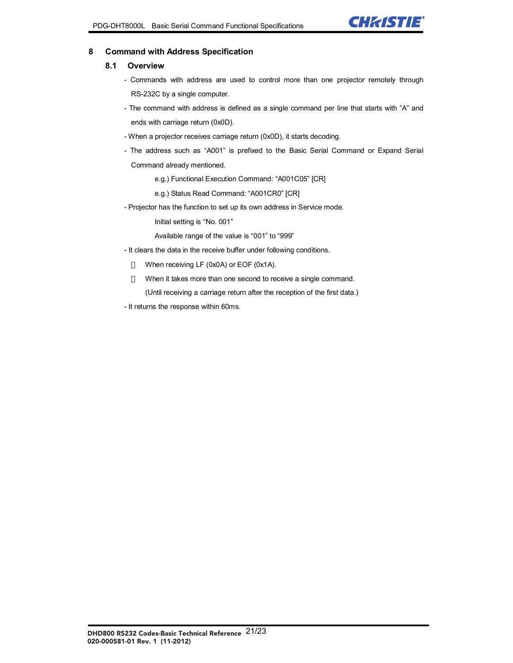

#### **8 Command with Address Specification**

#### **8.1 Overview**

- Commands with address are used to control more than one projector remotely through RS-232C by a single computer.
- The command with address is defined as a single command per line that starts with "A" and ends with carriage return (0x0D).
- When a projector receives carriage return (0x0D), it starts decoding.
- The address such as "A001" is prefixed to the Basic Serial Command or Expand Serial Command already mentioned.
	- e.g.) Functional Execution Command: "A001C05" [CR]
	- e.g.) Status Read Command: "A001CR0" [CR]
- Projector has the function to set up its own address in Service mode.

Initial setting is "No. 001"

Available range of the value is "001" to "999"

- It clears the data in the receive buffer under following conditions.

When receiving LF (0x0A) or EOF (0x1A).

When it takes more than one second to receive a single command.

(Until receiving a carriage return after the reception of the first data.)

- It returns the response within 60ms.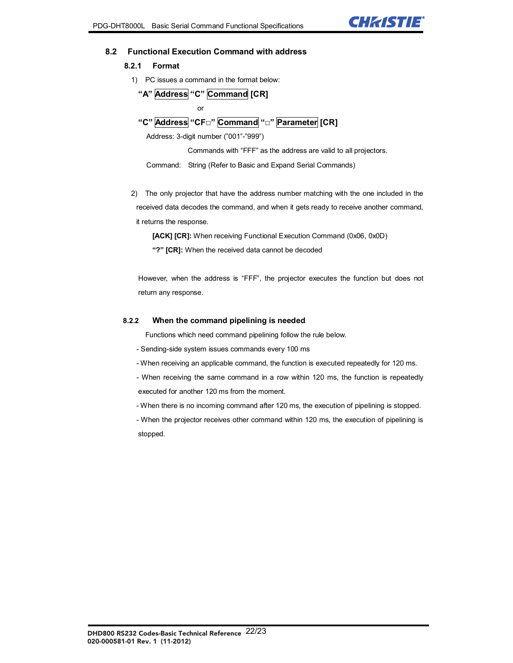

#### **8.2 Functional Execution Command with address**

#### **8.2.1 Format**

- 1) PC issues a command in the format below:
	- **"A" Address "C" Command [CR]**

**or** *or* 

**"C" Address "CF**□**" Command "**□**" Parameter [CR]** 

Address: 3-digit number ("001"-"999")

Commands with "FFF" as the address are valid to all projectors.

Command: String (Refer to Basic and Expand Serial Commands)

2) The only projector that have the address number matching with the one included in the received data decodes the command, and when it gets ready to receive another command, it returns the response.

**[ACK] [CR]:** When receiving Functional Execution Command (0x06, 0x0D)

**"?" [CR]:** When the received data cannot be decoded

However, when the address is "FFF", the projector executes the function but does not return any response.

#### **8.2.2 When the command pipelining is needed**

Functions which need command pipelining follow the rule below.

- Sending-side system issues commands every 100 ms
- When receiving an applicable command, the function is executed repeatedly for 120 ms.
- When receiving the same command in a row within 120 ms, the function is repeatedly executed for another 120 ms from the moment.
- When there is no incoming command after 120 ms, the execution of pipelining is stopped.

- When the projector receives other command within 120 ms, the execution of pipelining is stopped.